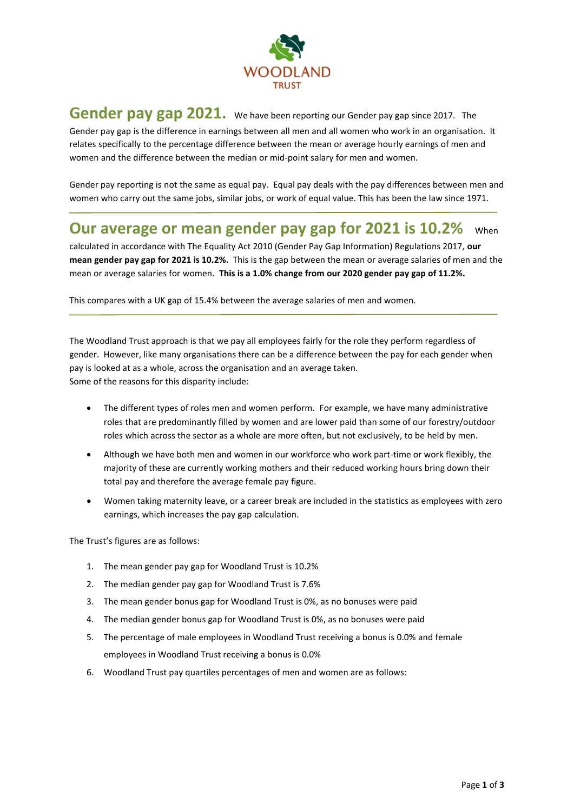

## **Gender pay gap 2021.** We have been reporting our Gender pay gap since 2017. The Gender pay gap is the difference in earnings between all men and all women who work in an organisation. It relates specifically to the percentage difference between the mean or average hourly earnings of men and women and the difference between the median or mid-point salary for men and women.

Gender pay reporting is not the same as equal pay. Equal pay deals with the pay differences between men and women who carry out the same jobs, similar jobs, or work of equal value. This has been the law since 1971.

## **Our average or mean gender pay gap for 2021 is 10.2%** When

calculated in accordance with The Equality Act 2010 (Gender Pay Gap Information) Regulations 2017, **our mean gender pay gap for 2021 is 10.2%.** This is the gap between the mean or average salaries of men and the mean or average salaries for women. **This is a 1.0% change from our 2020 gender pay gap of 11.2%.**

This compares with a UK gap of 15.4% between the average salaries of men and women.

The Woodland Trust approach is that we pay all employees fairly for the role they perform regardless of gender. However, like many organisations there can be a difference between the pay for each gender when pay is looked at as a whole, across the organisation and an average taken. Some of the reasons for this disparity include:

- The different types of roles men and women perform. For example, we have many administrative roles that are predominantly filled by women and are lower paid than some of our forestry/outdoor roles which across the sector as a whole are more often, but not exclusively, to be held by men.
- Although we have both men and women in our workforce who work part-time or work flexibly, the majority of these are currently working mothers and their reduced working hours bring down their total pay and therefore the average female pay figure.
- Women taking maternity leave, or a career break are included in the statistics as employees with zero earnings, which increases the pay gap calculation.

The Trust's figures are as follows:

- 1. The mean gender pay gap for Woodland Trust is 10.2%
- 2. The median gender pay gap for Woodland Trust is 7.6%
- 3. The mean gender bonus gap for Woodland Trust is 0%, as no bonuses were paid
- 4. The median gender bonus gap for Woodland Trust is 0%, as no bonuses were paid
- 5. The percentage of male employees in Woodland Trust receiving a bonus is 0.0% and female employees in Woodland Trust receiving a bonus is 0.0%
- 6. Woodland Trust pay quartiles percentages of men and women are as follows: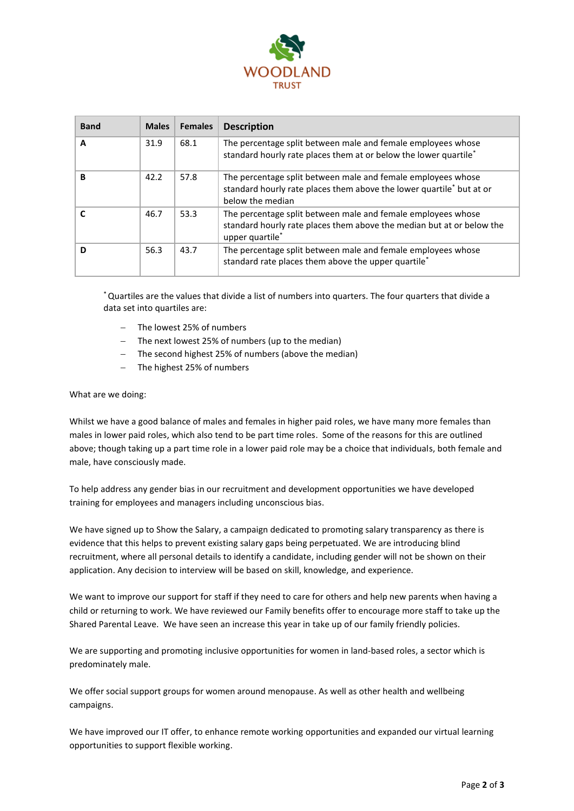

| <b>Band</b> | <b>Males</b> | <b>Females</b> | <b>Description</b>                                                                                                                                                   |
|-------------|--------------|----------------|----------------------------------------------------------------------------------------------------------------------------------------------------------------------|
| A           | 31.9         | 68.1           | The percentage split between male and female employees whose<br>standard hourly rate places them at or below the lower quartile*                                     |
| в           | 42.2         | 57.8           | The percentage split between male and female employees whose<br>standard hourly rate places them above the lower quartile* but at or<br>below the median             |
|             | 46.7         | 53.3           | The percentage split between male and female employees whose<br>standard hourly rate places them above the median but at or below the<br>upper quartile <sup>*</sup> |
| ח           | 56.3         | 43.7           | The percentage split between male and female employees whose<br>standard rate places them above the upper quartile*                                                  |

\*Quartiles are the values that divide a list of numbers into quarters. The four quarters that divide a data set into quartiles are:

- The lowest 25% of numbers
- The next lowest 25% of numbers (up to the median)
- − The second highest 25% of numbers (above the median)
- The highest 25% of numbers

What are we doing:

Whilst we have a good balance of males and females in higher paid roles, we have many more females than males in lower paid roles, which also tend to be part time roles. Some of the reasons for this are outlined above; though taking up a part time role in a lower paid role may be a choice that individuals, both female and male, have consciously made.

To help address any gender bias in our recruitment and development opportunities we have developed training for employees and managers including unconscious bias.

We have signed up to Show the Salary, a campaign dedicated to promoting salary transparency as there is evidence that this helps to prevent existing salary gaps being perpetuated. We are introducing blind recruitment, where all personal details to identify a candidate, including gender will not be shown on their application. Any decision to interview will be based on skill, knowledge, and experience.

We want to improve our support for staff if they need to care for others and help new parents when having a child or returning to work. We have reviewed our Family benefits offer to encourage more staff to take up the Shared Parental Leave. We have seen an increase this year in take up of our family friendly policies.

We are supporting and promoting inclusive opportunities for women in land-based roles, a sector which is predominately male.

We offer social support groups for women around menopause. As well as other health and wellbeing campaigns.

We have improved our IT offer, to enhance remote working opportunities and expanded our virtual learning opportunities to support flexible working.